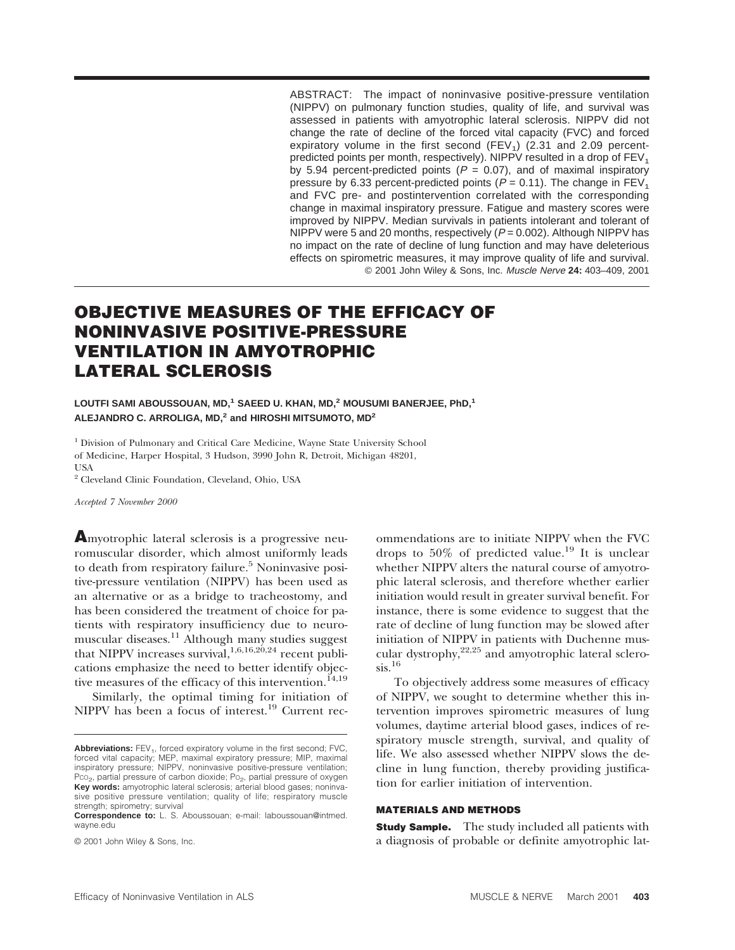ABSTRACT: The impact of noninvasive positive-pressure ventilation (NIPPV) on pulmonary function studies, quality of life, and survival was assessed in patients with amyotrophic lateral sclerosis. NIPPV did not change the rate of decline of the forced vital capacity (FVC) and forced expiratory volume in the first second (FEV<sub>1</sub>) (2.31 and 2.09 percentpredicted points per month, respectively). NIPPV resulted in a drop of  $FEV<sub>1</sub>$ by 5.94 percent-predicted points ( $P = 0.07$ ), and of maximal inspiratory pressure by 6.33 percent-predicted points ( $P = 0.11$ ). The change in  $FEV<sub>1</sub>$ and FVC pre- and postintervention correlated with the corresponding change in maximal inspiratory pressure. Fatigue and mastery scores were improved by NIPPV. Median survivals in patients intolerant and tolerant of NIPPV were 5 and 20 months, respectively  $(P = 0.002)$ . Although NIPPV has no impact on the rate of decline of lung function and may have deleterious effects on spirometric measures, it may improve quality of life and survival. © 2001 John Wiley & Sons, Inc. Muscle Nerve **24:** 403–409, 2001

# **OBJECTIVE MEASURES OF THE EFFICACY OF NONINVASIVE POSITIVE-PRESSURE VENTILATION IN AMYOTROPHIC LATERAL SCLEROSIS**

#### **LOUTFI SAMI ABOUSSOUAN, MD,<sup>1</sup> SAEED U. KHAN, MD,<sup>2</sup> MOUSUMI BANERJEE, PhD,<sup>1</sup> ALEJANDRO C. ARROLIGA, MD,<sup>2</sup> and HIROSHI MITSUMOTO, MD<sup>2</sup>**

<sup>1</sup> Division of Pulmonary and Critical Care Medicine, Wayne State University School of Medicine, Harper Hospital, 3 Hudson, 3990 John R, Detroit, Michigan 48201, **TISA** 

<sup>2</sup> Cleveland Clinic Foundation, Cleveland, Ohio, USA

*Accepted 7 November 2000*

**A**myotrophic lateral sclerosis is a progressive neuromuscular disorder, which almost uniformly leads to death from respiratory failure.<sup>5</sup> Noninvasive positive-pressure ventilation (NIPPV) has been used as an alternative or as a bridge to tracheostomy, and has been considered the treatment of choice for patients with respiratory insufficiency due to neuromuscular diseases.11 Although many studies suggest that NIPPV increases survival,  $1,6,16,20,24$  recent publications emphasize the need to better identify objective measures of the efficacy of this intervention.<sup>14,19</sup>

Similarly, the optimal timing for initiation of NIPPV has been a focus of interest.<sup>19</sup> Current recommendations are to initiate NIPPV when the FVC drops to  $50\%$  of predicted value.<sup>19</sup> It is unclear whether NIPPV alters the natural course of amyotrophic lateral sclerosis, and therefore whether earlier initiation would result in greater survival benefit. For instance, there is some evidence to suggest that the rate of decline of lung function may be slowed after initiation of NIPPV in patients with Duchenne muscular dystrophy, $22,25$  and amyotrophic lateral sclero $sis.$ <sup>16</sup>

To objectively address some measures of efficacy of NIPPV, we sought to determine whether this intervention improves spirometric measures of lung volumes, daytime arterial blood gases, indices of respiratory muscle strength, survival, and quality of life. We also assessed whether NIPPV slows the decline in lung function, thereby providing justification for earlier initiation of intervention.

#### **MATERIALS AND METHODS**

**Study Sample.** The study included all patients with a diagnosis of probable or definite amyotrophic lat-

Abbreviations: FEV<sub>1</sub>, forced expiratory volume in the first second; FVC, forced vital capacity; MEP, maximal expiratory pressure; MIP, maximal inspiratory pressure; NIPPV, noninvasive positive-pressure ventilation;<br>Pco<sub>2</sub>, partial pressure of carbon dioxide; Po<sub>2</sub>, partial pressure of oxygen **Key words:** amyotrophic lateral sclerosis; arterial blood gases; noninvasive positive pressure ventilation; quality of life; respiratory muscle strength; spirometry; survival

**Correspondence to:** L. S. Aboussouan; e-mail: laboussouan@intmed. wayne.edu

<sup>© 2001</sup> John Wiley & Sons, Inc.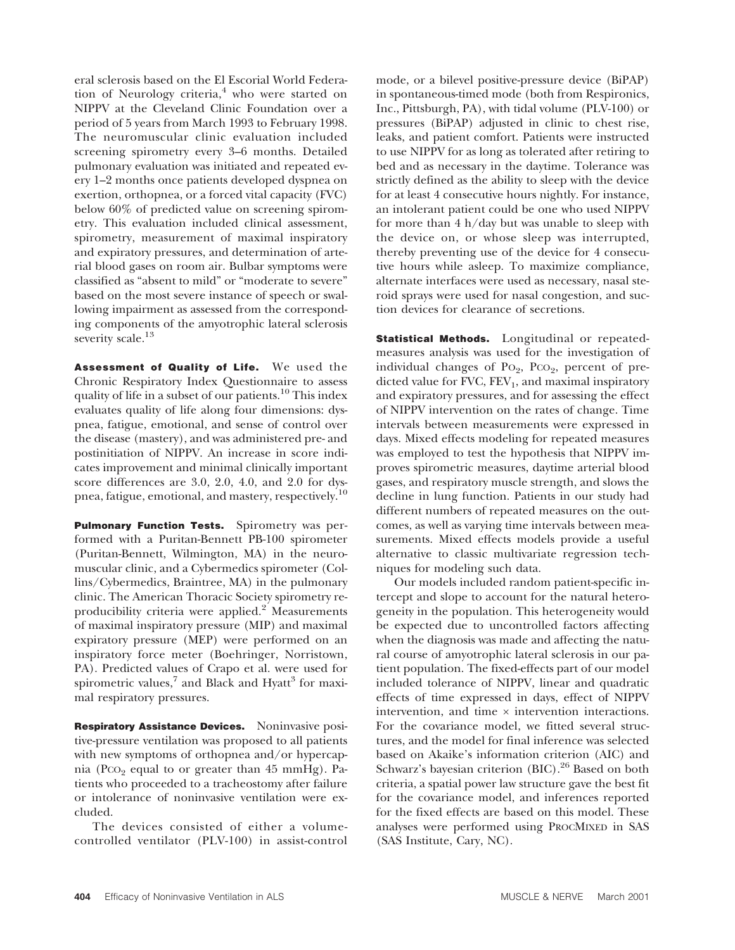eral sclerosis based on the El Escorial World Federation of Neurology criteria,<sup>4</sup> who were started on NIPPV at the Cleveland Clinic Foundation over a period of 5 years from March 1993 to February 1998. The neuromuscular clinic evaluation included screening spirometry every 3–6 months. Detailed pulmonary evaluation was initiated and repeated every 1–2 months once patients developed dyspnea on exertion, orthopnea, or a forced vital capacity (FVC) below 60% of predicted value on screening spirometry. This evaluation included clinical assessment, spirometry, measurement of maximal inspiratory and expiratory pressures, and determination of arterial blood gases on room air. Bulbar symptoms were classified as "absent to mild" or "moderate to severe" based on the most severe instance of speech or swallowing impairment as assessed from the corresponding components of the amyotrophic lateral sclerosis severity scale.<sup>13</sup>

**Assessment of Quality of Life.** We used the Chronic Respiratory Index Questionnaire to assess quality of life in a subset of our patients.10 This index evaluates quality of life along four dimensions: dyspnea, fatigue, emotional, and sense of control over the disease (mastery), and was administered pre- and postinitiation of NIPPV. An increase in score indicates improvement and minimal clinically important score differences are 3.0, 2.0, 4.0, and 2.0 for dyspnea, fatigue, emotional, and mastery, respectively.10

**Pulmonary Function Tests.** Spirometry was performed with a Puritan-Bennett PB-100 spirometer (Puritan-Bennett, Wilmington, MA) in the neuromuscular clinic, and a Cybermedics spirometer (Collins/Cybermedics, Braintree, MA) in the pulmonary clinic. The American Thoracic Society spirometry reproducibility criteria were applied.<sup>2</sup> Measurements of maximal inspiratory pressure (MIP) and maximal expiratory pressure (MEP) were performed on an inspiratory force meter (Boehringer, Norristown, PA). Predicted values of Crapo et al. were used for spirometric values, $7$  and Black and Hyatt<sup>3</sup> for maximal respiratory pressures.

**Respiratory Assistance Devices.** Noninvasive positive-pressure ventilation was proposed to all patients with new symptoms of orthopnea and/or hypercapnia (Pco<sub>2</sub> equal to or greater than  $45 \text{ mmHg}$ ). Patients who proceeded to a tracheostomy after failure or intolerance of noninvasive ventilation were excluded.

The devices consisted of either a volumecontrolled ventilator (PLV-100) in assist-control mode, or a bilevel positive-pressure device (BiPAP) in spontaneous-timed mode (both from Respironics, Inc., Pittsburgh, PA), with tidal volume (PLV-100) or pressures (BiPAP) adjusted in clinic to chest rise, leaks, and patient comfort. Patients were instructed to use NIPPV for as long as tolerated after retiring to bed and as necessary in the daytime. Tolerance was strictly defined as the ability to sleep with the device for at least 4 consecutive hours nightly. For instance, an intolerant patient could be one who used NIPPV for more than 4 h/day but was unable to sleep with the device on, or whose sleep was interrupted, thereby preventing use of the device for 4 consecutive hours while asleep. To maximize compliance, alternate interfaces were used as necessary, nasal steroid sprays were used for nasal congestion, and suction devices for clearance of secretions.

**Statistical Methods.** Longitudinal or repeatedmeasures analysis was used for the investigation of individual changes of  $Po_2$ ,  $PCO_2$ , percent of predicted value for FVC,  $FEV_1$ , and maximal inspiratory and expiratory pressures, and for assessing the effect of NIPPV intervention on the rates of change. Time intervals between measurements were expressed in days. Mixed effects modeling for repeated measures was employed to test the hypothesis that NIPPV improves spirometric measures, daytime arterial blood gases, and respiratory muscle strength, and slows the decline in lung function. Patients in our study had different numbers of repeated measures on the outcomes, as well as varying time intervals between measurements. Mixed effects models provide a useful alternative to classic multivariate regression techniques for modeling such data.

Our models included random patient-specific intercept and slope to account for the natural heterogeneity in the population. This heterogeneity would be expected due to uncontrolled factors affecting when the diagnosis was made and affecting the natural course of amyotrophic lateral sclerosis in our patient population. The fixed-effects part of our model included tolerance of NIPPV, linear and quadratic effects of time expressed in days, effect of NIPPV intervention, and time  $\times$  intervention interactions. For the covariance model, we fitted several structures, and the model for final inference was selected based on Akaike's information criterion (AIC) and Schwarz's bayesian criterion (BIC).<sup>26</sup> Based on both criteria, a spatial power law structure gave the best fit for the covariance model, and inferences reported for the fixed effects are based on this model. These analyses were performed using PROCMIXED in SAS (SAS Institute, Cary, NC).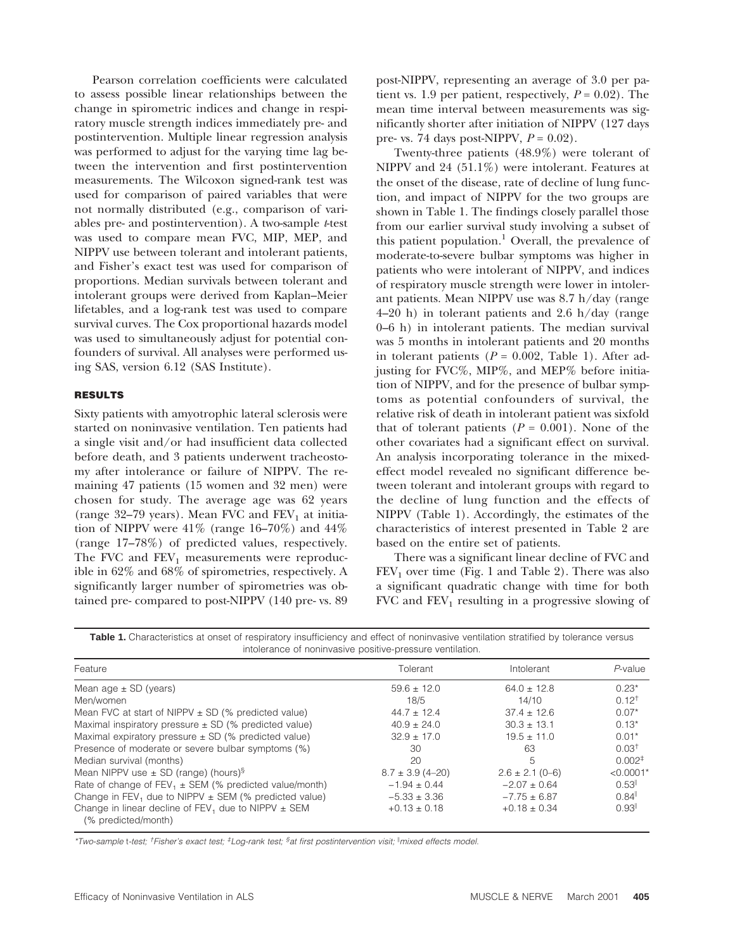Pearson correlation coefficients were calculated to assess possible linear relationships between the change in spirometric indices and change in respiratory muscle strength indices immediately pre- and postintervention. Multiple linear regression analysis was performed to adjust for the varying time lag between the intervention and first postintervention measurements. The Wilcoxon signed-rank test was used for comparison of paired variables that were not normally distributed (e.g., comparison of variables pre- and postintervention). A two-sample *t*-test was used to compare mean FVC, MIP, MEP, and NIPPV use between tolerant and intolerant patients, and Fisher's exact test was used for comparison of proportions. Median survivals between tolerant and intolerant groups were derived from Kaplan–Meier lifetables, and a log-rank test was used to compare survival curves. The Cox proportional hazards model was used to simultaneously adjust for potential confounders of survival. All analyses were performed using SAS, version 6.12 (SAS Institute).

## **RESULTS**

Sixty patients with amyotrophic lateral sclerosis were started on noninvasive ventilation. Ten patients had a single visit and/or had insufficient data collected before death, and 3 patients underwent tracheostomy after intolerance or failure of NIPPV. The remaining 47 patients (15 women and 32 men) were chosen for study. The average age was 62 years (range 32-79 years). Mean FVC and  $FEV<sub>1</sub>$  at initiation of NIPPV were  $41\%$  (range 16–70%) and  $44\%$ (range 17–78%) of predicted values, respectively. The FVC and  $FEV_1$  measurements were reproducible in 62% and 68% of spirometries, respectively. A significantly larger number of spirometries was obtained pre- compared to post-NIPPV (140 pre- vs. 89 post-NIPPV, representing an average of 3.0 per patient vs. 1.9 per patient, respectively,  $P = 0.02$ ). The mean time interval between measurements was significantly shorter after initiation of NIPPV (127 days pre- vs. 74 days post-NIPPV, *P* = 0.02).

Twenty-three patients (48.9%) were tolerant of NIPPV and 24 (51.1%) were intolerant. Features at the onset of the disease, rate of decline of lung function, and impact of NIPPV for the two groups are shown in Table 1. The findings closely parallel those from our earlier survival study involving a subset of this patient population.<sup>1</sup> Overall, the prevalence of moderate-to-severe bulbar symptoms was higher in patients who were intolerant of NIPPV, and indices of respiratory muscle strength were lower in intolerant patients. Mean NIPPV use was 8.7 h/day (range  $4-20$  h) in tolerant patients and  $2.6$  h/day (range 0–6 h) in intolerant patients. The median survival was 5 months in intolerant patients and 20 months in tolerant patients  $(P = 0.002,$  Table 1). After adjusting for FVC%, MIP%, and MEP% before initiation of NIPPV, and for the presence of bulbar symptoms as potential confounders of survival, the relative risk of death in intolerant patient was sixfold that of tolerant patients  $(P = 0.001)$ . None of the other covariates had a significant effect on survival. An analysis incorporating tolerance in the mixedeffect model revealed no significant difference between tolerant and intolerant groups with regard to the decline of lung function and the effects of NIPPV (Table 1). Accordingly, the estimates of the characteristics of interest presented in Table 2 are based on the entire set of patients.

There was a significant linear decline of FVC and  $FEV<sub>1</sub>$  over time (Fig. 1 and Table 2). There was also a significant quadratic change with time for both FVC and  $FEV_1$  resulting in a progressive slowing of

| Table 1. Characteristics at onset of respiratory insufficiency and effect of noninvasive ventilation stratified by tolerance versus |  |  |  |  |  |  |
|-------------------------------------------------------------------------------------------------------------------------------------|--|--|--|--|--|--|
| intolerance of noninvasive positive-pressure ventilation.                                                                           |  |  |  |  |  |  |

| Feature                                                                        | Tolerant             | Intolerant          | $P$ -value                               |
|--------------------------------------------------------------------------------|----------------------|---------------------|------------------------------------------|
| Mean age $\pm$ SD (years)                                                      | $59.6 \pm 12.0$      | $64.0 \pm 12.8$     | $0.23*$                                  |
| Men/women                                                                      | 18/5                 | 14/10               | $0.12^{+}$                               |
| Mean FVC at start of NIPPV $\pm$ SD (% predicted value)                        | $44.7 \pm 12.4$      | $37.4 \pm 12.6$     | $0.07*$                                  |
| Maximal inspiratory pressure $\pm$ SD (% predicted value)                      | $40.9 \pm 24.0$      | $30.3 \pm 13.1$     | $0.13*$                                  |
| Maximal expiratory pressure $\pm$ SD (% predicted value)                       | $32.9 \pm 17.0$      | $19.5 \pm 11.0$     | $0.01*$                                  |
| Presence of moderate or severe bulbar symptoms (%)                             | 30                   | 63                  | 0.03 <sup>†</sup>                        |
| Median survival (months)                                                       | 20                   | 5                   | $0.002^{\ddagger}$                       |
| Mean NIPPV use $\pm$ SD (range) (hours) <sup>§</sup>                           | $8.7 \pm 3.9$ (4-20) | $2.6 \pm 2.1$ (0-6) | $< 0.0001*$                              |
| Rate of change of $FEV_1 \pm SEM$ (% predicted value/month)                    | $-1.94 \pm 0.44$     | $-2.07 \pm 0.64$    | 0.53                                     |
| Change in FEV <sub>1</sub> due to NIPPV $\pm$ SEM (% predicted value)          | $-5.33 \pm 3.36$     | $-7.75 \pm 6.87$    | $0.84$ <sup><math>\parallel</math></sup> |
| Change in linear decline of FEV, due to NIPPV $\pm$ SEM<br>(% predicted/month) | $+0.13 \pm 0.18$     | $+0.18 \pm 0.34$    | $0.93$ <sup><math>\parallel</math></sup> |

\*Two-sample t-test; †Fisher's exact test; ‡Log-rank test; <sup>s</sup>at first postintervention visit; <sup>||</sup>mixed effects model.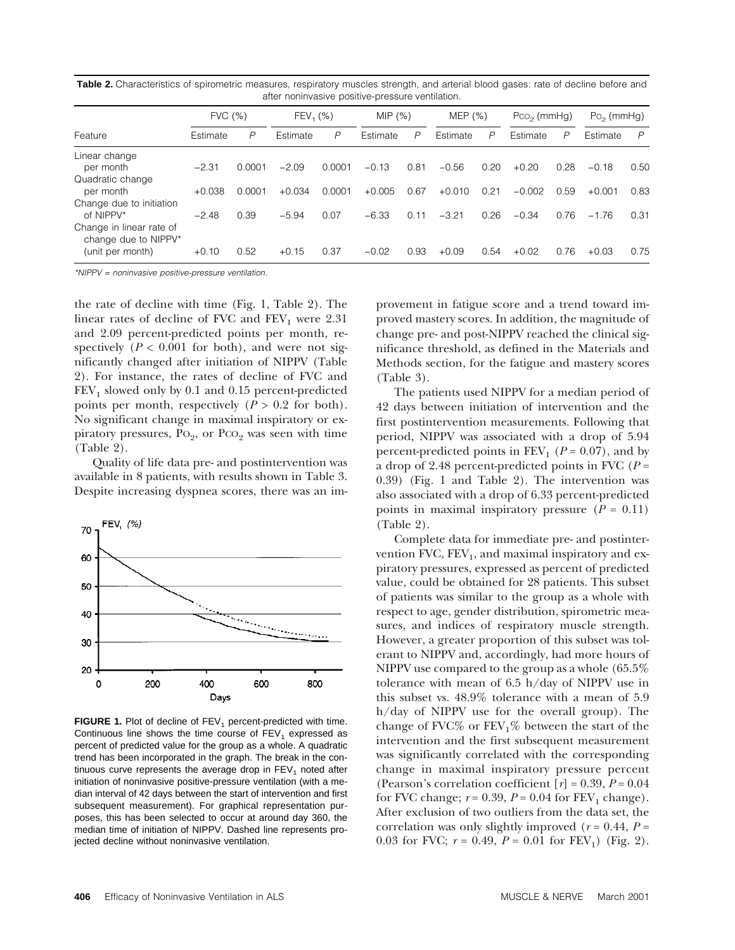| are nominasive positive-pressure ventilation.                        |          |        |             |        |          |      |           |      |               |      |              |               |
|----------------------------------------------------------------------|----------|--------|-------------|--------|----------|------|-----------|------|---------------|------|--------------|---------------|
|                                                                      | FVC (%)  |        | $FEV_1$ (%) |        | MIP(%)   |      | MEP $(%)$ |      | $PCO2$ (mmHg) |      | $Po2$ (mmHg) |               |
| Feature                                                              | Estimate | P      | Estimate    | P      | Estimate | P    | Estimate  | P    | Estimate      | P    | Estimate     | $\mathcal{P}$ |
| Linear change<br>per month                                           | $-2.31$  | 0.0001 | $-2.09$     | 0.0001 | $-0.13$  | 0.81 | $-0.56$   | 0.20 | $+0.20$       | 0.28 | $-0.18$      | 0.50          |
| Quadratic change<br>per month                                        | $+0.038$ | 0.0001 | $+0.034$    | 0.0001 | $+0.005$ | 0.67 | $+0.010$  | 0.21 | $-0.002$      | 0.59 | $+0.001$     | 0.83          |
| Change due to initiation<br>of NIPPV*                                | $-2.48$  | 0.39   | $-5.94$     | 0.07   | $-6.33$  | 0.11 | $-3.21$   | 0.26 | $-0.34$       | 0.76 | $-1.76$      | 0.31          |
| Change in linear rate of<br>change due to NIPPV*<br>(unit per month) | $+0.10$  | 0.52   | $+0.15$     | 0.37   | $-0.02$  | 0.93 | $+0.09$   | 0.54 | $+0.02$       | 0.76 | $+0.03$      | 0.75          |

**Table 2.** Characteristics of spirometric measures, respiratory muscles strength, and arterial blood gases: rate of decline before and after noninvasive positive-pressure ventilation.

\*NIPPV <sup>=</sup> noninvasive positive-pressure ventilation.

the rate of decline with time (Fig. 1, Table 2). The linear rates of decline of FVC and  $FEV_1$  were 2.31 and 2.09 percent-predicted points per month, respectively ( $P < 0.001$  for both), and were not significantly changed after initiation of NIPPV (Table 2). For instance, the rates of decline of FVC and  $FEV<sub>1</sub>$  slowed only by 0.1 and 0.15 percent-predicted points per month, respectively  $(P > 0.2$  for both). No significant change in maximal inspiratory or expiratory pressures,  $P_{{O_2}$ , or  $P_{{CO_2}}$  was seen with time (Table 2).

Quality of life data pre- and postintervention was available in 8 patients, with results shown in Table 3. Despite increasing dyspnea scores, there was an im-



**FIGURE 1.** Plot of decline of FEV<sub>1</sub> percent-predicted with time. Continuous line shows the time course of  $FEV<sub>1</sub>$  expressed as percent of predicted value for the group as a whole. A quadratic trend has been incorporated in the graph. The break in the continuous curve represents the average drop in  $FEV<sub>1</sub>$  noted after initiation of noninvasive positive-pressure ventilation (with a median interval of 42 days between the start of intervention and first subsequent measurement). For graphical representation purposes, this has been selected to occur at around day 360, the median time of initiation of NIPPV. Dashed line represents projected decline without noninvasive ventilation.

provement in fatigue score and a trend toward improved mastery scores. In addition, the magnitude of change pre- and post-NIPPV reached the clinical significance threshold, as defined in the Materials and Methods section, for the fatigue and mastery scores (Table 3).

The patients used NIPPV for a median period of 42 days between initiation of intervention and the first postintervention measurements. Following that period, NIPPV was associated with a drop of 5.94 percent-predicted points in  $FEV_1$  ( $P = 0.07$ ), and by a drop of 2.48 percent-predicted points in FVC (*P* = 0.39) (Fig. 1 and Table 2). The intervention was also associated with a drop of 6.33 percent-predicted points in maximal inspiratory pressure  $(P = 0.11)$ (Table 2).

Complete data for immediate pre- and postintervention FVC,  $FEV<sub>1</sub>$ , and maximal inspiratory and expiratory pressures, expressed as percent of predicted value, could be obtained for 28 patients. This subset of patients was similar to the group as a whole with respect to age, gender distribution, spirometric measures, and indices of respiratory muscle strength. However, a greater proportion of this subset was tolerant to NIPPV and, accordingly, had more hours of NIPPV use compared to the group as a whole (65.5% tolerance with mean of 6.5 h/day of NIPPV use in this subset vs. 48.9% tolerance with a mean of 5.9 h/day of NIPPV use for the overall group). The change of FVC% or  $FEV<sub>1</sub>%$  between the start of the intervention and the first subsequent measurement was significantly correlated with the corresponding change in maximal inspiratory pressure percent (Pearson's correlation coefficient  $[r] = 0.39, P = 0.04$ for FVC change;  $r = 0.39$ ,  $P = 0.04$  for FEV<sub>1</sub> change). After exclusion of two outliers from the data set, the correlation was only slightly improved ( $r = 0.44$ ,  $P =$ 0.03 for FVC;  $r = 0.49$ ,  $P = 0.01$  for FEV<sub>1</sub>) (Fig. 2).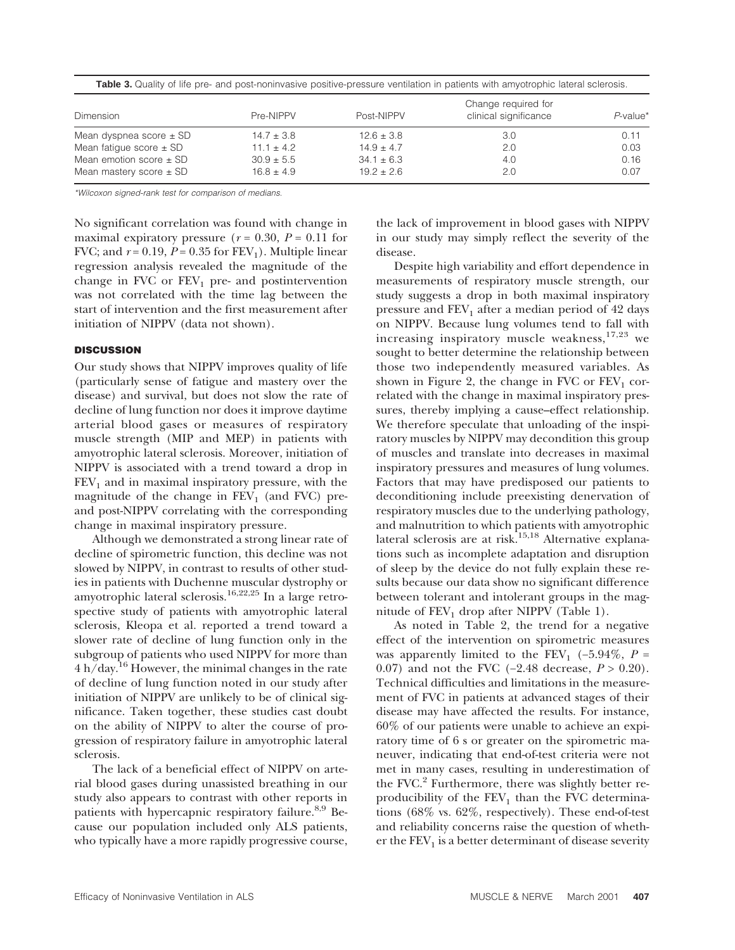|                             | Change required for |                |                       |             |  |  |  |
|-----------------------------|---------------------|----------------|-----------------------|-------------|--|--|--|
| Dimension                   | Pre-NIPPV           | Post-NIPPV     | clinical significance | $P$ -value* |  |  |  |
| Mean dyspnea score $\pm$ SD | $14.7 \pm 3.8$      | $12.6 \pm 3.8$ | 3.0                   | 0.11        |  |  |  |
| Mean fatigue score $\pm$ SD | $11.1 \pm 4.2$      | $14.9 \pm 4.7$ | 2.0                   | 0.03        |  |  |  |
| Mean emotion score $\pm$ SD | $30.9 \pm 5.5$      | $34.1 \pm 6.3$ | 4.0                   | 0.16        |  |  |  |
| Mean mastery score $\pm$ SD | $16.8 \pm 4.9$      | $19.2 \pm 2.6$ | 2.0                   | 0.07        |  |  |  |

**Table 3.** Quality of life pre- and post-noninvasive positive-pressure ventilation in patients with amyotrophic lateral sclerosis.

\*Wilcoxon signed-rank test for comparison of medians.

No significant correlation was found with change in maximal expiratory pressure  $(r = 0.30, P = 0.11)$  for FVC; and  $r = 0.19$ ,  $P = 0.35$  for  $FEV_1$ ). Multiple linear regression analysis revealed the magnitude of the change in FVC or  $FEV_1$  pre- and postintervention was not correlated with the time lag between the start of intervention and the first measurement after initiation of NIPPV (data not shown).

## **DISCUSSION**

Our study shows that NIPPV improves quality of life (particularly sense of fatigue and mastery over the disease) and survival, but does not slow the rate of decline of lung function nor does it improve daytime arterial blood gases or measures of respiratory muscle strength (MIP and MEP) in patients with amyotrophic lateral sclerosis. Moreover, initiation of NIPPV is associated with a trend toward a drop in  $FEV<sub>1</sub>$  and in maximal inspiratory pressure, with the magnitude of the change in  $FEV<sub>1</sub>$  (and FVC) preand post-NIPPV correlating with the corresponding change in maximal inspiratory pressure.

Although we demonstrated a strong linear rate of decline of spirometric function, this decline was not slowed by NIPPV, in contrast to results of other studies in patients with Duchenne muscular dystrophy or amyotrophic lateral sclerosis.16,22,25 In a large retrospective study of patients with amyotrophic lateral sclerosis, Kleopa et al. reported a trend toward a slower rate of decline of lung function only in the subgroup of patients who used NIPPV for more than  $4 h/day.<sup>16</sup>$  However, the minimal changes in the rate of decline of lung function noted in our study after initiation of NIPPV are unlikely to be of clinical significance. Taken together, these studies cast doubt on the ability of NIPPV to alter the course of progression of respiratory failure in amyotrophic lateral sclerosis.

The lack of a beneficial effect of NIPPV on arterial blood gases during unassisted breathing in our study also appears to contrast with other reports in patients with hypercapnic respiratory failure.<sup>8,9</sup> Because our population included only ALS patients, who typically have a more rapidly progressive course,

the lack of improvement in blood gases with NIPPV in our study may simply reflect the severity of the disease.

Despite high variability and effort dependence in measurements of respiratory muscle strength, our study suggests a drop in both maximal inspiratory pressure and  $FEV_1$  after a median period of 42 days on NIPPV. Because lung volumes tend to fall with increasing inspiratory muscle weakness, $17,23$  we sought to better determine the relationship between those two independently measured variables. As shown in Figure 2, the change in FVC or  $FEV<sub>1</sub>$  correlated with the change in maximal inspiratory pressures, thereby implying a cause–effect relationship. We therefore speculate that unloading of the inspiratory muscles by NIPPV may decondition this group of muscles and translate into decreases in maximal inspiratory pressures and measures of lung volumes. Factors that may have predisposed our patients to deconditioning include preexisting denervation of respiratory muscles due to the underlying pathology, and malnutrition to which patients with amyotrophic lateral sclerosis are at risk.<sup>15,18</sup> Alternative explanations such as incomplete adaptation and disruption of sleep by the device do not fully explain these results because our data show no significant difference between tolerant and intolerant groups in the magnitude of  $FEV<sub>1</sub>$  drop after NIPPV (Table 1).

As noted in Table 2, the trend for a negative effect of the intervention on spirometric measures was apparently limited to the FEV<sub>1</sub> (−5.94%,  $P =$ 0.07) and not the FVC (−2.48 decrease, *P* > 0.20). Technical difficulties and limitations in the measurement of FVC in patients at advanced stages of their disease may have affected the results. For instance, 60% of our patients were unable to achieve an expiratory time of 6 s or greater on the spirometric maneuver, indicating that end-of-test criteria were not met in many cases, resulting in underestimation of the FVC. $2$  Furthermore, there was slightly better reproducibility of the  $FEV<sub>1</sub>$  than the FVC determinations (68% vs. 62%, respectively). These end-of-test and reliability concerns raise the question of whether the  $FEV<sub>1</sub>$  is a better determinant of disease severity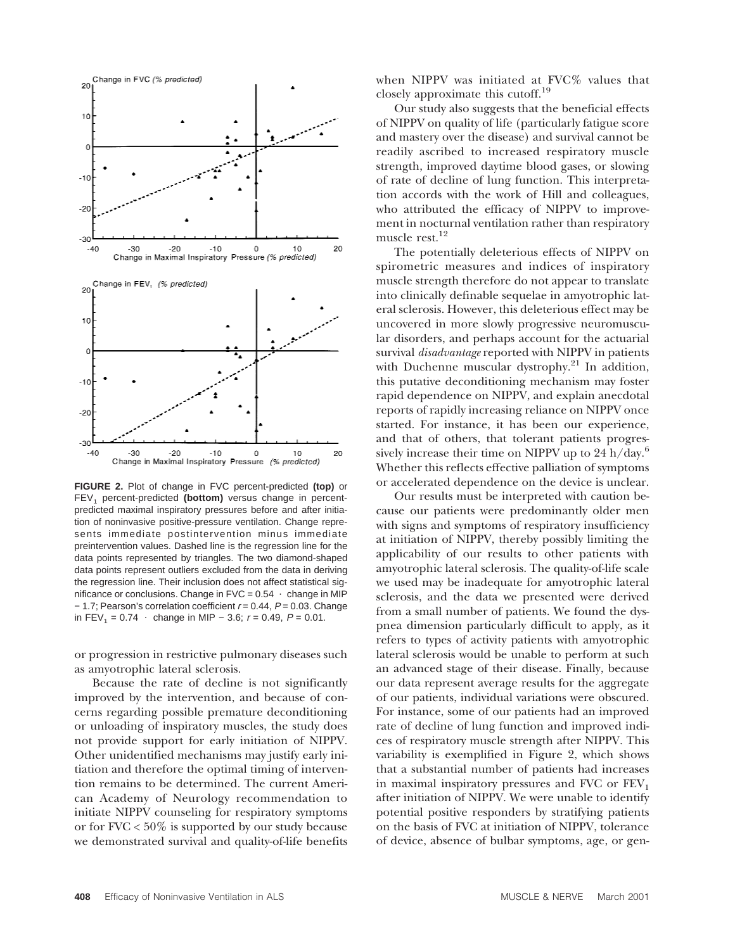

**FIGURE 2.** Plot of change in FVC percent-predicted **(top)** or FEV<sub>1</sub> percent-predicted (bottom) versus change in percentpredicted maximal inspiratory pressures before and after initiation of noninvasive positive-pressure ventilation. Change represents immediate postintervention minus immediate preintervention values. Dashed line is the regression line for the data points represented by triangles. The two diamond-shaped data points represent outliers excluded from the data in deriving the regression line. Their inclusion does not affect statistical significance or conclusions. Change in  $FVC = 0.54$   $\cdot$  change in MIP − 1.7; Pearson's correlation coefficient <sup>r</sup> = 0.44, P = 0.03. Change in FEV<sub>1</sub> = 0.74  $\cdot$  change in MIP – 3.6;  $r = 0.49$ ,  $P = 0.01$ .

or progression in restrictive pulmonary diseases such as amyotrophic lateral sclerosis.

Because the rate of decline is not significantly improved by the intervention, and because of concerns regarding possible premature deconditioning or unloading of inspiratory muscles, the study does not provide support for early initiation of NIPPV. Other unidentified mechanisms may justify early initiation and therefore the optimal timing of intervention remains to be determined. The current American Academy of Neurology recommendation to initiate NIPPV counseling for respiratory symptoms or for  $FVC < 50\%$  is supported by our study because we demonstrated survival and quality-of-life benefits

when NIPPV was initiated at FVC% values that closely approximate this cutoff.19

Our study also suggests that the beneficial effects of NIPPV on quality of life (particularly fatigue score and mastery over the disease) and survival cannot be readily ascribed to increased respiratory muscle strength, improved daytime blood gases, or slowing of rate of decline of lung function. This interpretation accords with the work of Hill and colleagues, who attributed the efficacy of NIPPV to improvement in nocturnal ventilation rather than respiratory muscle rest.12

The potentially deleterious effects of NIPPV on spirometric measures and indices of inspiratory muscle strength therefore do not appear to translate into clinically definable sequelae in amyotrophic lateral sclerosis. However, this deleterious effect may be uncovered in more slowly progressive neuromuscular disorders, and perhaps account for the actuarial survival *disadvantage* reported with NIPPV in patients with Duchenne muscular dystrophy. $^{21}$  In addition, this putative deconditioning mechanism may foster rapid dependence on NIPPV, and explain anecdotal reports of rapidly increasing reliance on NIPPV once started. For instance, it has been our experience, and that of others, that tolerant patients progressively increase their time on NIPPV up to  $24 h/day.<sup>6</sup>$ Whether this reflects effective palliation of symptoms or accelerated dependence on the device is unclear.

Our results must be interpreted with caution because our patients were predominantly older men with signs and symptoms of respiratory insufficiency at initiation of NIPPV, thereby possibly limiting the applicability of our results to other patients with amyotrophic lateral sclerosis. The quality-of-life scale we used may be inadequate for amyotrophic lateral sclerosis, and the data we presented were derived from a small number of patients. We found the dyspnea dimension particularly difficult to apply, as it refers to types of activity patients with amyotrophic lateral sclerosis would be unable to perform at such an advanced stage of their disease. Finally, because our data represent average results for the aggregate of our patients, individual variations were obscured. For instance, some of our patients had an improved rate of decline of lung function and improved indices of respiratory muscle strength after NIPPV. This variability is exemplified in Figure 2, which shows that a substantial number of patients had increases in maximal inspiratory pressures and FVC or  $FEV<sub>1</sub>$ after initiation of NIPPV. We were unable to identify potential positive responders by stratifying patients on the basis of FVC at initiation of NIPPV, tolerance of device, absence of bulbar symptoms, age, or gen